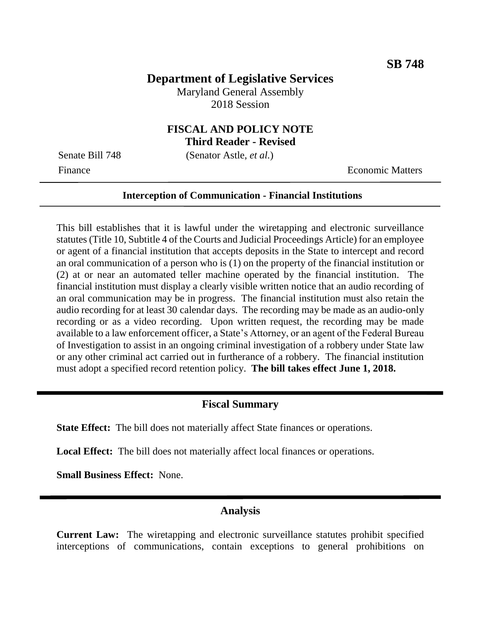### **Department of Legislative Services**

Maryland General Assembly 2018 Session

# **FISCAL AND POLICY NOTE**

**Third Reader - Revised**

Senate Bill 748 (Senator Astle, *et al.*) Finance **Exercífical Economic Matters** 

#### **Interception of Communication - Financial Institutions**

This bill establishes that it is lawful under the wiretapping and electronic surveillance statutes (Title 10, Subtitle 4 of the Courts and Judicial Proceedings Article) for an employee or agent of a financial institution that accepts deposits in the State to intercept and record an oral communication of a person who is (1) on the property of the financial institution or (2) at or near an automated teller machine operated by the financial institution. The financial institution must display a clearly visible written notice that an audio recording of an oral communication may be in progress. The financial institution must also retain the audio recording for at least 30 calendar days. The recording may be made as an audio-only recording or as a video recording. Upon written request, the recording may be made available to a law enforcement officer, a State's Attorney, or an agent of the Federal Bureau of Investigation to assist in an ongoing criminal investigation of a robbery under State law or any other criminal act carried out in furtherance of a robbery. The financial institution must adopt a specified record retention policy. **The bill takes effect June 1, 2018.**

#### **Fiscal Summary**

**State Effect:** The bill does not materially affect State finances or operations.

**Local Effect:** The bill does not materially affect local finances or operations.

**Small Business Effect:** None.

#### **Analysis**

**Current Law:** The wiretapping and electronic surveillance statutes prohibit specified interceptions of communications, contain exceptions to general prohibitions on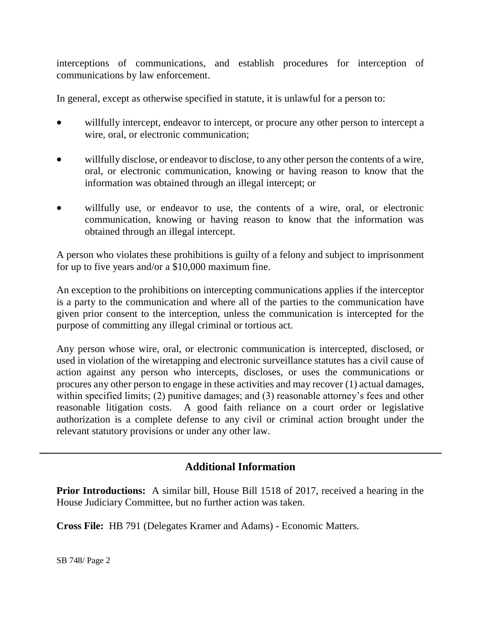interceptions of communications, and establish procedures for interception of communications by law enforcement.

In general, except as otherwise specified in statute, it is unlawful for a person to:

- willfully intercept, endeavor to intercept, or procure any other person to intercept a wire, oral, or electronic communication;
- willfully disclose, or endeavor to disclose, to any other person the contents of a wire, oral, or electronic communication, knowing or having reason to know that the information was obtained through an illegal intercept; or
- willfully use, or endeavor to use, the contents of a wire, oral, or electronic communication, knowing or having reason to know that the information was obtained through an illegal intercept.

A person who violates these prohibitions is guilty of a felony and subject to imprisonment for up to five years and/or a \$10,000 maximum fine.

An exception to the prohibitions on intercepting communications applies if the interceptor is a party to the communication and where all of the parties to the communication have given prior consent to the interception, unless the communication is intercepted for the purpose of committing any illegal criminal or tortious act.

Any person whose wire, oral, or electronic communication is intercepted, disclosed, or used in violation of the wiretapping and electronic surveillance statutes has a civil cause of action against any person who intercepts, discloses, or uses the communications or procures any other person to engage in these activities and may recover (1) actual damages, within specified limits; (2) punitive damages; and (3) reasonable attorney's fees and other reasonable litigation costs. A good faith reliance on a court order or legislative authorization is a complete defense to any civil or criminal action brought under the relevant statutory provisions or under any other law.

## **Additional Information**

**Prior Introductions:** A similar bill, House Bill 1518 of 2017, received a hearing in the House Judiciary Committee, but no further action was taken.

**Cross File:** HB 791 (Delegates Kramer and Adams) - Economic Matters.